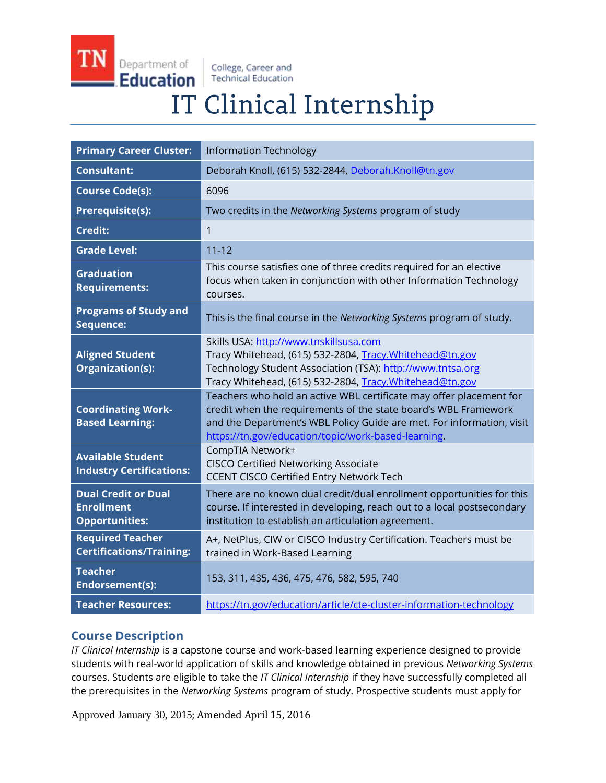College, Career and **Technical Education** 

Department of

**Education** 

# IT Clinical Internship

| <b>Primary Career Cluster:</b>                                           | <b>Information Technology</b>                                                                                                                                                                                                                                          |
|--------------------------------------------------------------------------|------------------------------------------------------------------------------------------------------------------------------------------------------------------------------------------------------------------------------------------------------------------------|
| <b>Consultant:</b>                                                       | Deborah Knoll, (615) 532-2844, Deborah.Knoll@tn.gov                                                                                                                                                                                                                    |
| <b>Course Code(s):</b>                                                   | 6096                                                                                                                                                                                                                                                                   |
| <b>Prerequisite(s):</b>                                                  | Two credits in the Networking Systems program of study                                                                                                                                                                                                                 |
| <b>Credit:</b>                                                           | 1                                                                                                                                                                                                                                                                      |
| <b>Grade Level:</b>                                                      | $11 - 12$                                                                                                                                                                                                                                                              |
| <b>Graduation</b><br><b>Requirements:</b>                                | This course satisfies one of three credits required for an elective<br>focus when taken in conjunction with other Information Technology<br>courses.                                                                                                                   |
| <b>Programs of Study and</b><br>Sequence:                                | This is the final course in the Networking Systems program of study.                                                                                                                                                                                                   |
| <b>Aligned Student</b><br>Organization(s):                               | Skills USA: http://www.tnskillsusa.com<br>Tracy Whitehead, (615) 532-2804, Tracy.Whitehead@tn.gov<br>Technology Student Association (TSA): http://www.tntsa.org<br>Tracy Whitehead, (615) 532-2804, Tracy. Whitehead@tn.gov                                            |
| <b>Coordinating Work-</b><br><b>Based Learning:</b>                      | Teachers who hold an active WBL certificate may offer placement for<br>credit when the requirements of the state board's WBL Framework<br>and the Department's WBL Policy Guide are met. For information, visit<br>https://tn.gov/education/topic/work-based-learning. |
| <b>Available Student</b><br><b>Industry Certifications:</b>              | CompTIA Network+<br><b>CISCO Certified Networking Associate</b><br><b>CCENT CISCO Certified Entry Network Tech</b>                                                                                                                                                     |
| <b>Dual Credit or Dual</b><br><b>Enrollment</b><br><b>Opportunities:</b> | There are no known dual credit/dual enrollment opportunities for this<br>course. If interested in developing, reach out to a local postsecondary<br>institution to establish an articulation agreement.                                                                |
| <b>Required Teacher</b><br><b>Certifications/Training:</b>               | A+, NetPlus, CIW or CISCO Industry Certification. Teachers must be<br>trained in Work-Based Learning                                                                                                                                                                   |
| <b>Teacher</b><br>Endorsement(s):                                        | 153, 311, 435, 436, 475, 476, 582, 595, 740                                                                                                                                                                                                                            |
| <b>Teacher Resources:</b>                                                | https://tn.gov/education/article/cte-cluster-information-technology                                                                                                                                                                                                    |

# **Course Description**

*IT Clinical Internship* is a capstone course and work-based learning experience designed to provide students with real-world application of skills and knowledge obtained in previous *Networking Systems* courses. Students are eligible to take the *IT Clinical Internship* if they have successfully completed all the prerequisites in the *Networking Systems* program of study. Prospective students must apply for

Approved January 30, 2015; Amended April 15, 2016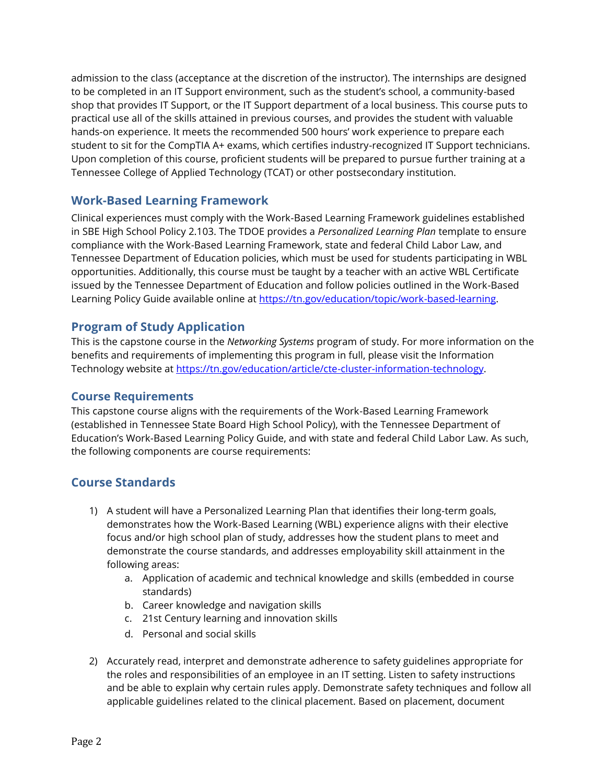admission to the class (acceptance at the discretion of the instructor). The internships are designed to be completed in an IT Support environment, such as the student's school, a community-based shop that provides IT Support, or the IT Support department of a local business. This course puts to practical use all of the skills attained in previous courses, and provides the student with valuable hands-on experience. It meets the recommended 500 hours' work experience to prepare each student to sit for the CompTIA A+ exams, which certifies industry-recognized IT Support technicians. Upon completion of this course, proficient students will be prepared to pursue further training at a Tennessee College of Applied Technology (TCAT) or other postsecondary institution.

## **Work-Based Learning Framework**

Clinical experiences must comply with the Work-Based Learning Framework guidelines established in SBE High School Policy 2.103. The TDOE provides a *Personalized Learning Plan* template to ensure compliance with the Work-Based Learning Framework, state and federal Child Labor Law, and Tennessee Department of Education policies, which must be used for students participating in WBL opportunities. Additionally, this course must be taught by a teacher with an active WBL Certificate issued by the Tennessee Department of Education and follow policies outlined in the Work-Based Learning Policy Guide available online at https://tn.gov/education/topic/work-based-learning.

## **Program of Study Application**

This is the capstone course in the *Networking Systems* program of study. For more information on the benefits and requirements of implementing this program in full, please visit the Information Technology website at [https://tn.gov/education/article/cte-cluster-information-technology.](https://tn.gov/education/article/cte-cluster-information-technology)

#### **Course Requirements**

This capstone course aligns with the requirements of the Work-Based Learning Framework (established in Tennessee State Board High School Policy), with the Tennessee Department of Education's Work-Based Learning Policy Guide, and with state and federal Child Labor Law. As such, the following components are course requirements:

# **Course Standards**

- 1) A student will have a Personalized Learning Plan that identifies their long-term goals, demonstrates how the Work-Based Learning (WBL) experience aligns with their elective focus and/or high school plan of study, addresses how the student plans to meet and demonstrate the course standards, and addresses employability skill attainment in the following areas:
	- a. Application of academic and technical knowledge and skills (embedded in course standards)
	- b. Career knowledge and navigation skills
	- c. 21st Century learning and innovation skills
	- d. Personal and social skills
- 2) Accurately read, interpret and demonstrate adherence to safety guidelines appropriate for the roles and responsibilities of an employee in an IT setting. Listen to safety instructions and be able to explain why certain rules apply. Demonstrate safety techniques and follow all applicable guidelines related to the clinical placement. Based on placement, document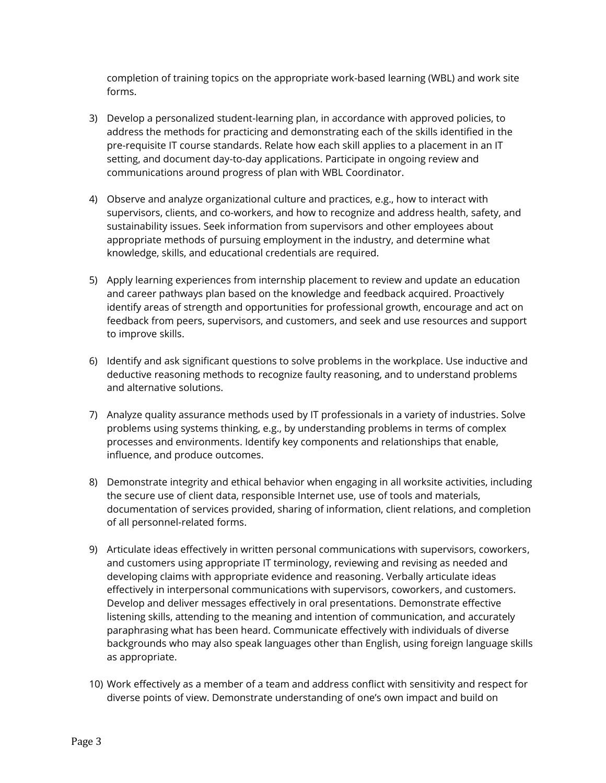completion of training topics on the appropriate work-based learning (WBL) and work site forms.

- 3) Develop a personalized student-learning plan, in accordance with approved policies, to address the methods for practicing and demonstrating each of the skills identified in the pre-requisite IT course standards. Relate how each skill applies to a placement in an IT setting, and document day-to-day applications. Participate in ongoing review and communications around progress of plan with WBL Coordinator.
- 4) Observe and analyze organizational culture and practices, e.g., how to interact with supervisors, clients, and co-workers, and how to recognize and address health, safety, and sustainability issues. Seek information from supervisors and other employees about appropriate methods of pursuing employment in the industry, and determine what knowledge, skills, and educational credentials are required.
- 5) Apply learning experiences from internship placement to review and update an education and career pathways plan based on the knowledge and feedback acquired. Proactively identify areas of strength and opportunities for professional growth, encourage and act on feedback from peers, supervisors, and customers, and seek and use resources and support to improve skills.
- 6) Identify and ask significant questions to solve problems in the workplace. Use inductive and deductive reasoning methods to recognize faulty reasoning, and to understand problems and alternative solutions.
- 7) Analyze quality assurance methods used by IT professionals in a variety of industries. Solve problems using systems thinking, e.g., by understanding problems in terms of complex processes and environments. Identify key components and relationships that enable, influence, and produce outcomes.
- 8) Demonstrate integrity and ethical behavior when engaging in all worksite activities, including the secure use of client data, responsible Internet use, use of tools and materials, documentation of services provided, sharing of information, client relations, and completion of all personnel-related forms.
- 9) Articulate ideas effectively in written personal communications with supervisors, coworkers, and customers using appropriate IT terminology, reviewing and revising as needed and developing claims with appropriate evidence and reasoning. Verbally articulate ideas effectively in interpersonal communications with supervisors, coworkers, and customers. Develop and deliver messages effectively in oral presentations. Demonstrate effective listening skills, attending to the meaning and intention of communication, and accurately paraphrasing what has been heard. Communicate effectively with individuals of diverse backgrounds who may also speak languages other than English, using foreign language skills as appropriate.
- 10) Work effectively as a member of a team and address conflict with sensitivity and respect for diverse points of view. Demonstrate understanding of one's own impact and build on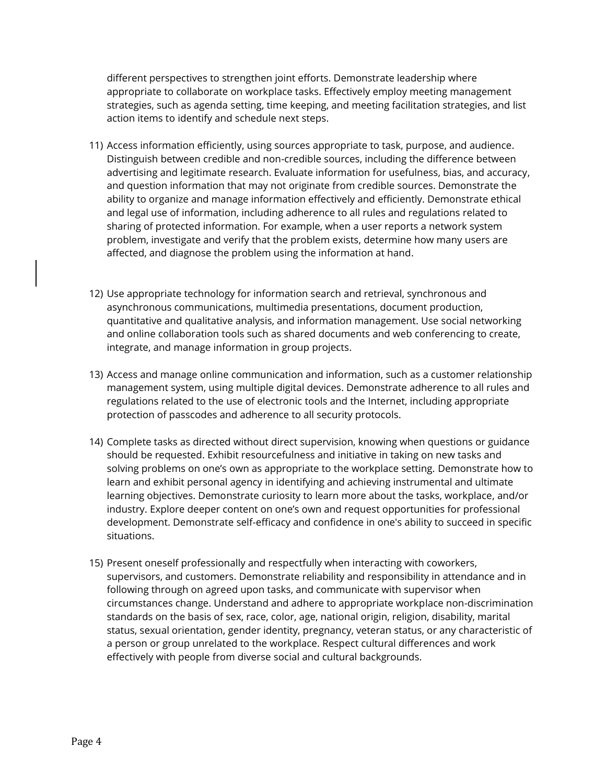different perspectives to strengthen joint efforts. Demonstrate leadership where appropriate to collaborate on workplace tasks. Effectively employ meeting management strategies, such as agenda setting, time keeping, and meeting facilitation strategies, and list action items to identify and schedule next steps.

- 11) Access information efficiently, using sources appropriate to task, purpose, and audience. Distinguish between credible and non-credible sources, including the difference between advertising and legitimate research. Evaluate information for usefulness, bias, and accuracy, and question information that may not originate from credible sources. Demonstrate the ability to organize and manage information effectively and efficiently. Demonstrate ethical and legal use of information, including adherence to all rules and regulations related to sharing of protected information. For example, when a user reports a network system problem, investigate and verify that the problem exists, determine how many users are affected, and diagnose the problem using the information at hand.
- 12) Use appropriate technology for information search and retrieval, synchronous and asynchronous communications, multimedia presentations, document production, quantitative and qualitative analysis, and information management. Use social networking and online collaboration tools such as shared documents and web conferencing to create, integrate, and manage information in group projects.
- 13) Access and manage online communication and information, such as a customer relationship management system, using multiple digital devices. Demonstrate adherence to all rules and regulations related to the use of electronic tools and the Internet, including appropriate protection of passcodes and adherence to all security protocols.
- 14) Complete tasks as directed without direct supervision, knowing when questions or guidance should be requested. Exhibit resourcefulness and initiative in taking on new tasks and solving problems on one's own as appropriate to the workplace setting. Demonstrate how to learn and exhibit personal agency in identifying and achieving instrumental and ultimate learning objectives. Demonstrate curiosity to learn more about the tasks, workplace, and/or industry. Explore deeper content on one's own and request opportunities for professional development. Demonstrate self-efficacy and confidence in one's ability to succeed in specific situations.
- 15) Present oneself professionally and respectfully when interacting with coworkers, supervisors, and customers. Demonstrate reliability and responsibility in attendance and in following through on agreed upon tasks, and communicate with supervisor when circumstances change. Understand and adhere to appropriate workplace non-discrimination standards on the basis of sex, race, color, age, national origin, religion, disability, marital status, sexual orientation, gender identity, pregnancy, veteran status, or any characteristic of a person or group unrelated to the workplace. Respect cultural differences and work effectively with people from diverse social and cultural backgrounds.